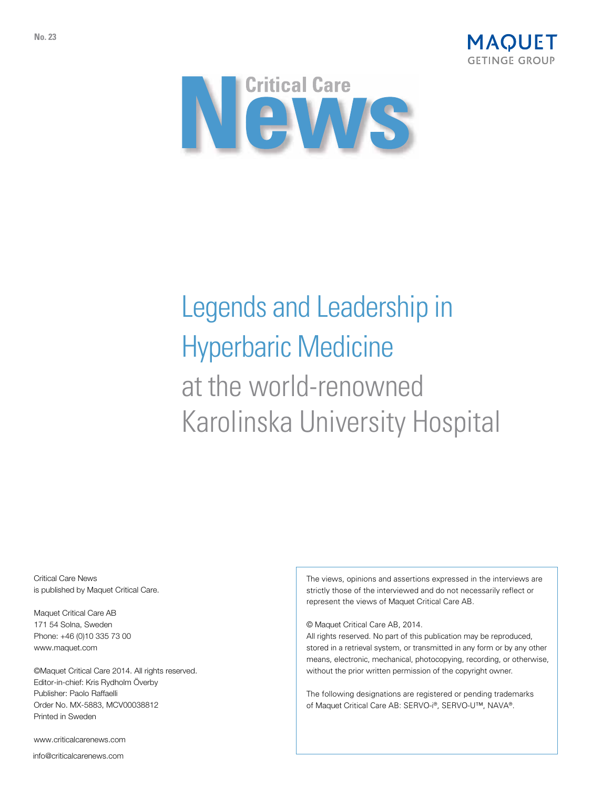



# Legends and Leadership in Hyperbaric Medicine at the world-renowned Karolinska University Hospital

Critical Care News is published by Maquet Critical Care.

Maquet Critical Care AB 171 54 Solna, Sweden Phone: +46 (0)10 335 73 00 www.maquet.com

©Maquet Critical Care 2014. All rights reserved. Editor-in-chief: Kris Rydholm Överby Publisher: Paolo Raffaelli Order No. MX-5883, MCV00038812 Printed in Sweden

www.criticalcarenews.com

info@criticalcarenews.com

The views, opinions and assertions expressed in the interviews are strictly those of the interviewed and do not necessarily reflect or represent the views of Maquet Critical Care AB.

© Maquet Critical Care AB, 2014.

All rights reserved. No part of this publication may be reproduced, stored in a retrieval system, or transmitted in any form or by any other means, electronic, mechanical, photocopying, recording, or otherwise, without the prior written permission of the copyright owner.

The following designations are registered or pending trademarks of Maquet Critical Care AB: SERVO-i®, SERVO-U™, NAVA®.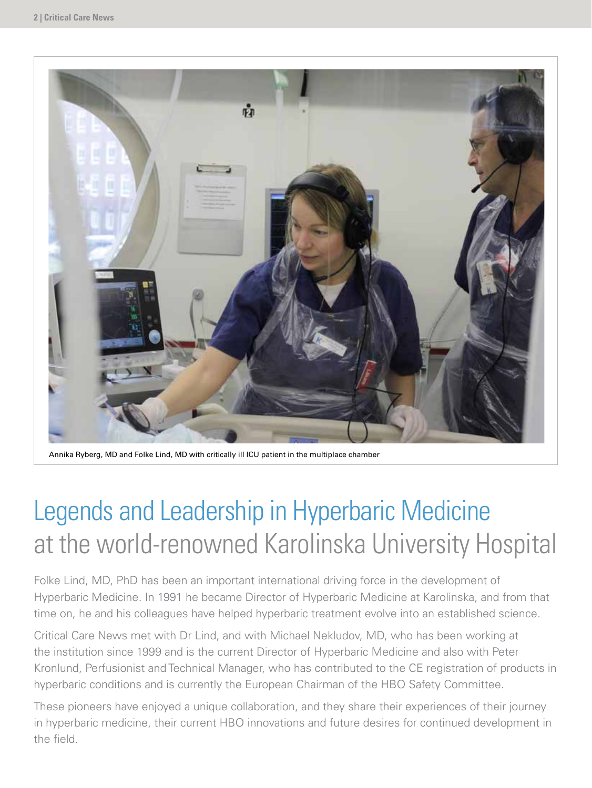

Annika Ryberg, MD and Folke Lind, MD with critically ill ICU patient in the multiplace chamber

# Legends and Leadership in Hyperbaric Medicine at the world-renowned Karolinska University Hospital

Folke Lind, MD, PhD has been an important international driving force in the development of Hyperbaric Medicine. In 1991 he became Director of Hyperbaric Medicine at Karolinska, and from that time on, he and his colleagues have helped hyperbaric treatment evolve into an established science.

Critical Care News met with Dr Lind, and with Michael Nekludov, MD, who has been working at the institution since 1999 and is the current Director of Hyperbaric Medicine and also with Peter Kronlund, Perfusionist and Technical Manager, who has contributed to the CE registration of products in hyperbaric conditions and is currently the European Chairman of the HBO Safety Committee.

These pioneers have enjoyed a unique collaboration, and they share their experiences of their journey in hyperbaric medicine, their current HBO innovations and future desires for continued development in the field.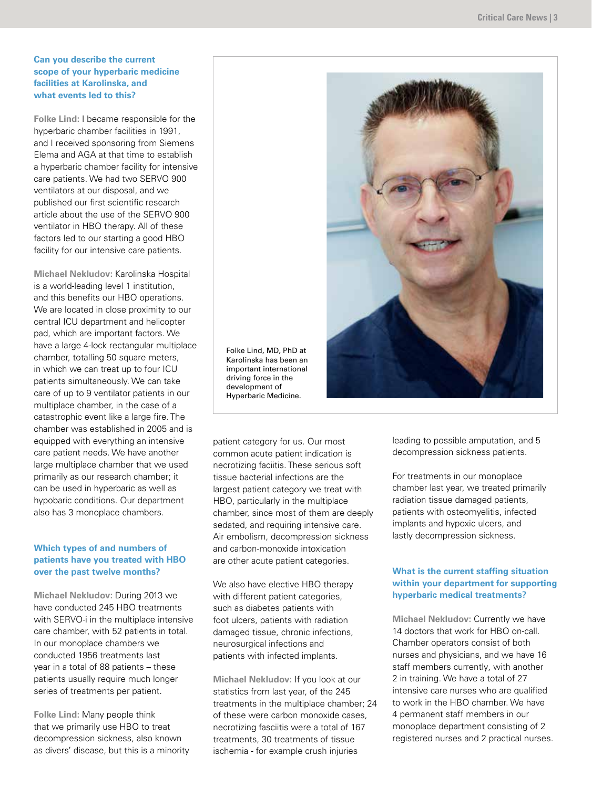#### **Can you describe the current scope of your hyperbaric medicine facilities at Karolinska, and what events led to this?**

**Folke Lind:** I became responsible for the hyperbaric chamber facilities in 1991, and I received sponsoring from Siemens Elema and AGA at that time to establish a hyperbaric chamber facility for intensive care patients. We had two SERVO 900 ventilators at our disposal, and we published our first scientific research article about the use of the SERVO 900 ventilator in HBO therapy. All of these factors led to our starting a good HBO facility for our intensive care patients.

**Michael Nekludov:** Karolinska Hospital is a world-leading level 1 institution, and this benefits our HBO operations. We are located in close proximity to our central ICU department and helicopter pad, which are important factors. We have a large 4-lock rectangular multiplace chamber, totalling 50 square meters, in which we can treat up to four ICU patients simultaneously. We can take care of up to 9 ventilator patients in our multiplace chamber, in the case of a catastrophic event like a large fire. The chamber was established in 2005 and is equipped with everything an intensive care patient needs. We have another large multiplace chamber that we used primarily as our research chamber; it can be used in hyperbaric as well as hypobaric conditions. Our department also has 3 monoplace chambers.

### **Which types of and numbers of patients have you treated with HBO over the past twelve months?**

**Michael Nekludov:** During 2013 we have conducted 245 HBO treatments with SERVO-i in the multiplace intensive care chamber, with 52 patients in total. In our monoplace chambers we conducted 1956 treatments last year in a total of 88 patients – these patients usually require much longer series of treatments per patient.

**Folke Lind:** Many people think that we primarily use HBO to treat decompression sickness, also known as divers' disease, but this is a minority



Hyperbaric Medicine. patient category for us. Our most common acute patient indication is necrotizing faciitis. These serious soft tissue bacterial infections are the largest patient category we treat with HBO, particularly in the multiplace chamber, since most of them are deeply sedated, and requiring intensive care. Air embolism, decompression sickness

We also have elective HBO therapy with different patient categories, such as diabetes patients with foot ulcers, patients with radiation damaged tissue, chronic infections, neurosurgical infections and patients with infected implants.

and carbon-monoxide intoxication are other acute patient categories.

**Michael Nekludov:** If you look at our statistics from last year, of the 245 treatments in the multiplace chamber; 24 of these were carbon monoxide cases, necrotizing fasciitis were a total of 167 treatments, 30 treatments of tissue ischemia - for example crush injuries

leading to possible amputation, and 5 decompression sickness patients.

For treatments in our monoplace chamber last year, we treated primarily radiation tissue damaged patients, patients with osteomyelitis, infected implants and hypoxic ulcers, and lastly decompression sickness.

### **What is the current staffing situation within your department for supporting hyperbaric medical treatments?**

**Michael Nekludov:** Currently we have 14 doctors that work for HBO on-call. Chamber operators consist of both nurses and physicians, and we have 16 staff members currently, with another 2 in training. We have a total of 27 intensive care nurses who are qualified to work in the HBO chamber. We have 4 permanent staff members in our monoplace department consisting of 2 registered nurses and 2 practical nurses.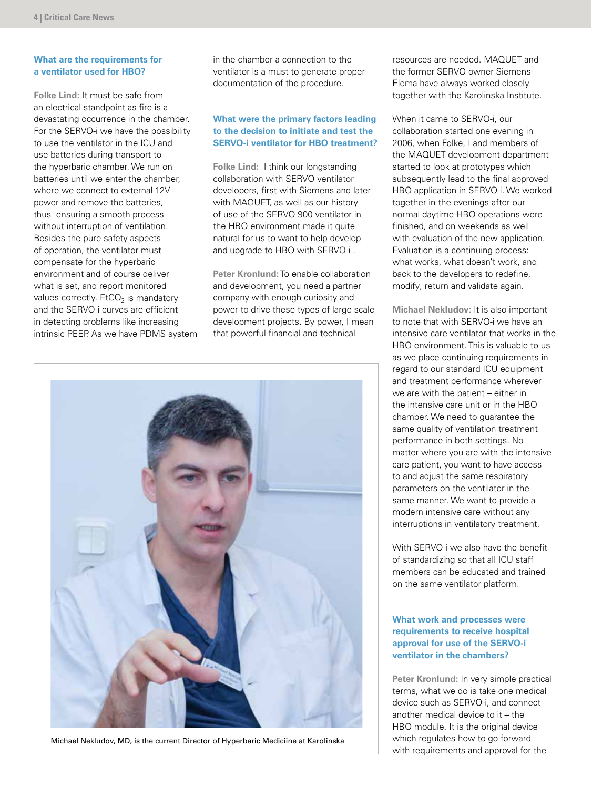#### **What are the requirements for a ventilator used for HBO?**

**Folke Lind:** It must be safe from an electrical standpoint as fire is a devastating occurrence in the chamber. For the SERVO-i we have the possibility to use the ventilator in the ICU and use batteries during transport to the hyperbaric chamber. We run on batteries until we enter the chamber, where we connect to external 12V power and remove the batteries, thus ensuring a smooth process without interruption of ventilation. Besides the pure safety aspects of operation, the ventilator must compensate for the hyperbaric environment and of course deliver what is set, and report monitored values correctly.  $E<sub>1</sub>CO<sub>2</sub>$  is mandatory and the SERVO-i curves are efficient in detecting problems like increasing intrinsic PEEP. As we have PDMS system in the chamber a connection to the ventilator is a must to generate proper documentation of the procedure.

#### **What were the primary factors leading to the decision to initiate and test the SERVO-i ventilator for HBO treatment?**

**Folke Lind:** I think our longstanding collaboration with SERVO ventilator developers, first with Siemens and later with MAQUET, as well as our history of use of the SERVO 900 ventilator in the HBO environment made it quite natural for us to want to help develop and upgrade to HBO with SERVO-i .

**Peter Kronlund:** To enable collaboration and development, you need a partner company with enough curiosity and power to drive these types of large scale development projects. By power, I mean that powerful financial and technical



Michael Nekludov, MD, is the current Director of Hyperbaric Mediciine at Karolinska

resources are needed. MAQUET and the former SERVO owner Siemens-Elema have always worked closely together with the Karolinska Institute.

When it came to SERVO-i, our collaboration started one evening in 2006, when Folke, I and members of the MAQUET development department started to look at prototypes which subsequently lead to the final approved HBO application in SERVO-i. We worked together in the evenings after our normal daytime HBO operations were finished, and on weekends as well with evaluation of the new application. Evaluation is a continuing process: what works, what doesn't work, and back to the developers to redefine, modify, return and validate again.

**Michael Nekludov:** It is also important to note that with SERVO-i we have an intensive care ventilator that works in the HBO environment. This is valuable to us as we place continuing requirements in regard to our standard ICU equipment and treatment performance wherever we are with the patient – either in the intensive care unit or in the HBO chamber. We need to guarantee the same quality of ventilation treatment performance in both settings. No matter where you are with the intensive care patient, you want to have access to and adjust the same respiratory parameters on the ventilator in the same manner. We want to provide a modern intensive care without any interruptions in ventilatory treatment.

With SERVO-i we also have the benefit of standardizing so that all ICU staff members can be educated and trained on the same ventilator platform.

### **What work and processes were requirements to receive hospital approval for use of the SERVO-i ventilator in the chambers?**

**Peter Kronlund:** In very simple practical terms, what we do is take one medical device such as SERVO-i, and connect another medical device to it – the HBO module. It is the original device which regulates how to go forward with requirements and approval for the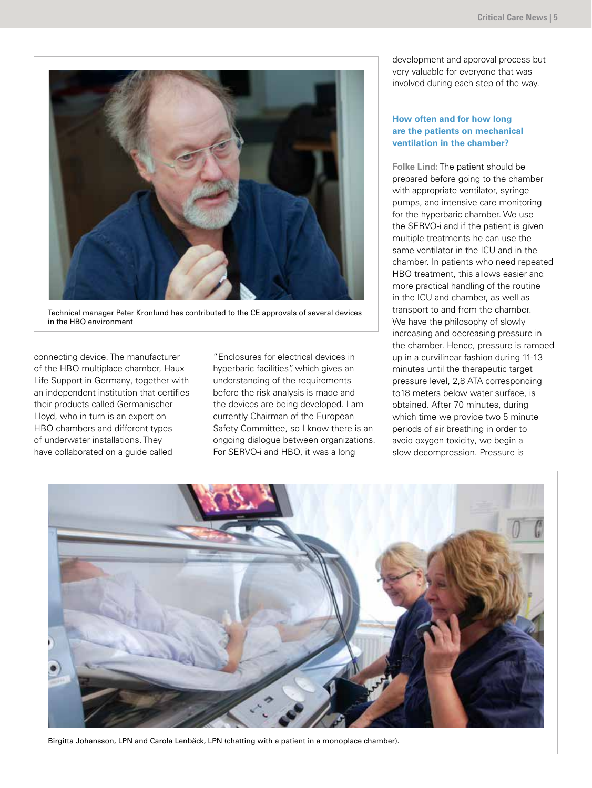

Technical manager Peter Kronlund has contributed to the CE approvals of several devices in the HBO environment

connecting device. The manufacturer of the HBO multiplace chamber, Haux Life Support in Germany, together with an independent institution that certifies their products called Germanischer Lloyd, who in turn is an expert on HBO chambers and different types of underwater installations. They have collaborated on a guide called

"Enclosures for electrical devices in hyperbaric facilities", which gives an understanding of the requirements before the risk analysis is made and the devices are being developed. I am currently Chairman of the European Safety Committee, so I know there is an ongoing dialogue between organizations. For SERVO-i and HBO, it was a long

development and approval process but very valuable for everyone that was involved during each step of the way.

#### **How often and for how long are the patients on mechanical ventilation in the chamber?**

**Folke Lind:** The patient should be prepared before going to the chamber with appropriate ventilator, syringe pumps, and intensive care monitoring for the hyperbaric chamber. We use the SERVO-i and if the patient is given multiple treatments he can use the same ventilator in the ICU and in the chamber. In patients who need repeated HBO treatment, this allows easier and more practical handling of the routine in the ICU and chamber, as well as transport to and from the chamber. We have the philosophy of slowly increasing and decreasing pressure in the chamber. Hence, pressure is ramped up in a curvilinear fashion during 11-13 minutes until the therapeutic target pressure level, 2,8 ATA corresponding to18 meters below water surface, is obtained. After 70 minutes, during which time we provide two 5 minute periods of air breathing in order to avoid oxygen toxicity, we begin a slow decompression. Pressure is



Birgitta Johansson, LPN and Carola Lenbäck, LPN (chatting with a patient in a monoplace chamber).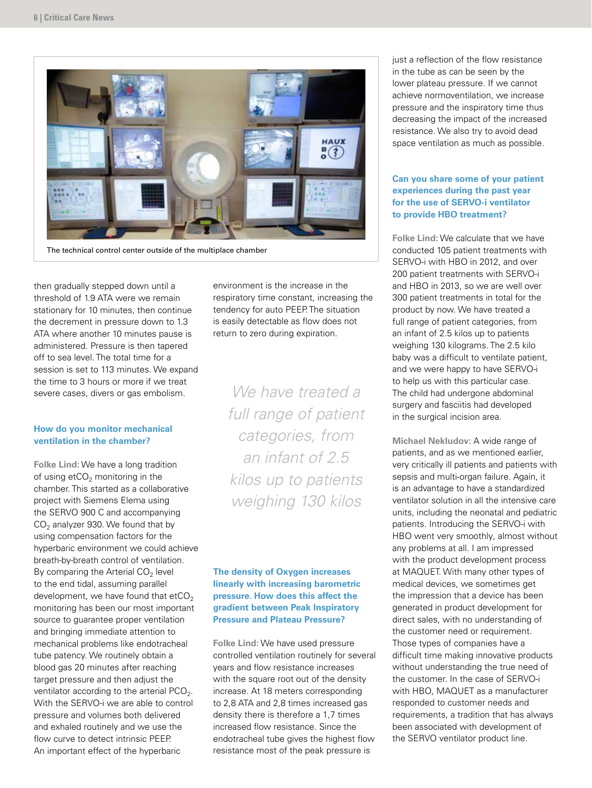

The technical control center outside of the multiplace chamber

then gradually stepped down until a threshold of 1.9 ATA were we remain stationary for 10 minutes, then continue the decrement in pressure down to 1.3 ATA where another 10 minutes pause is administered. Pressure is then tapered off to sea level. The total time for a session is set to 113 minutes. We expand the time to 3 hours or more if we treat severe cases, divers or gas embolism.

### **How do you monitor mechanical ventilation in the chamber?**

**Folke Lind:** We have a long tradition of using  $etCO<sub>2</sub>$  monitoring in the chamber. This started as a collaborative project with Siemens Elema using the SERVO 900 C and accompanying  $CO<sub>2</sub>$  analyzer 930. We found that by using compensation factors for the hyperbaric environment we could achieve breath-by-breath control of ventilation. By comparing the Arterial  $CO<sub>2</sub>$  level to the end tidal, assuming parallel development, we have found that  $etCO<sub>2</sub>$ monitoring has been our most important source to guarantee proper ventilation and bringing immediate attention to mechanical problems like endotracheal tube patency. We routinely obtain a blood gas 20 minutes after reaching target pressure and then adjust the ventilator according to the arterial  $PCO<sub>2</sub>$ . With the SERVO-i we are able to control pressure and volumes both delivered and exhaled routinely and we use the flow curve to detect intrinsic PEEP. An important effect of the hyperbaric

environment is the increase in the respiratory time constant, increasing the tendency for auto PEEP. The situation is easily detectable as flow does not return to zero during expiration.

*We have treated a full range of patient categories, from an infant of 2.5 kilos up to patients weighing 130 kilos*

### **The density of Oxygen increases linearly with increasing barometric pressure. How does this affect the gradient between Peak Inspiratory Pressure and Plateau Pressure?**

**Folke Lind:** We have used pressure controlled ventilation routinely for several years and flow resistance increases with the square root out of the density increase. At 18 meters corresponding to 2,8 ATA and 2,8 times increased gas density there is therefore a 1,7 times increased flow resistance. Since the endotracheal tube gives the highest flow resistance most of the peak pressure is

just a reflection of the flow resistance in the tube as can be seen by the lower plateau pressure. If we cannot achieve normoventilation, we increase pressure and the inspiratory time thus decreasing the impact of the increased resistance. We also try to avoid dead space ventilation as much as possible.

#### **Can you share some of your patient experiences during the past year for the use of SERVO-i ventilator to provide HBO treatment?**

**Folke Lind:** We calculate that we have conducted 105 patient treatments with SERVO-i with HBO in 2012, and over 200 patient treatments with SERVO-i and HBO in 2013, so we are well over 300 patient treatments in total for the product by now. We have treated a full range of patient categories, from an infant of 2.5 kilos up to patients weighing 130 kilograms. The 2.5 kilo baby was a difficult to ventilate patient, and we were happy to have SERVO-i to help us with this particular case. The child had undergone abdominal surgery and fasciitis had developed in the surgical incision area.

**Michael Nekludov:** A wide range of patients, and as we mentioned earlier, very critically ill patients and patients with sepsis and multi-organ failure. Again, it is an advantage to have a standardized ventilator solution in all the intensive care units, including the neonatal and pediatric patients. Introducing the SERVO-i with HBO went very smoothly, almost without any problems at all. I am impressed with the product development process at MAQUET. With many other types of medical devices, we sometimes get the impression that a device has been generated in product development for direct sales, with no understanding of the customer need or requirement. Those types of companies have a difficult time making innovative products without understanding the true need of the customer. In the case of SERVO-i with HBO, MAQUET as a manufacturer responded to customer needs and requirements, a tradition that has always been associated with development of the SERVO ventilator product line.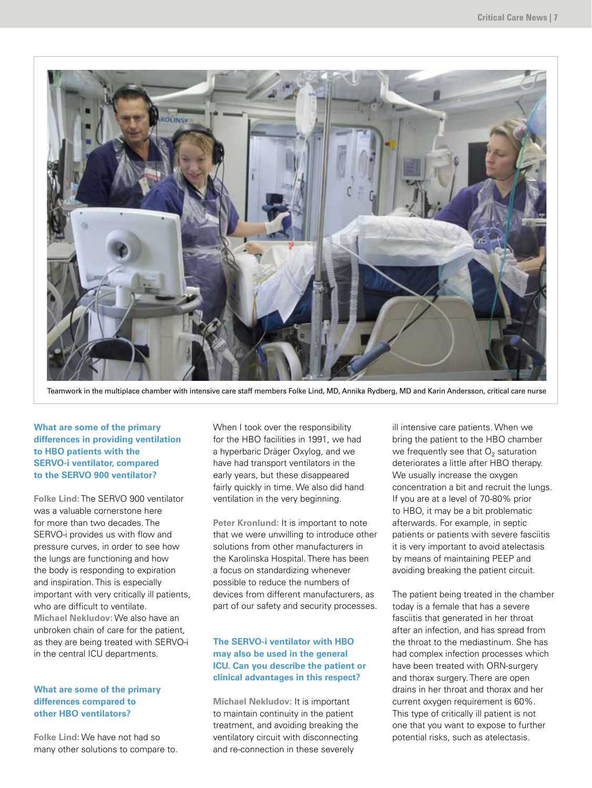

Teamwork in the multiplace chamber with intensive care staff members Folke Lind, MD, Annika Rydberg, MD and Karin Andersson, critical care nurse

### **What are some of the primary differences in providing ventilation to HBO patients with the SERVO-i ventilator, compared to the SERVO 900 ventilator?**

**Folke Lind:** The SERVO 900 ventilator was a valuable cornerstone here for more than two decades. The SERVO-i provides us with flow and pressure curves, in order to see how the lungs are functioning and how the body is responding to expiration and inspiration. This is especially important with very critically ill patients, who are difficult to ventilate. **Michael Nekludov:** We also have an unbroken chain of care for the patient, as they are being treated with SERVO-i in the central ICU departments.

#### **What are some of the primary differences compared to other HBO ventilators?**

**Folke Lind:** We have not had so many other solutions to compare to. When I took over the responsibility for the HBO facilities in 1991, we had a hyperbaric Dräger Oxylog, and we have had transport ventilators in the early years, but these disappeared fairly quickly in time. We also did hand ventilation in the very beginning.

**Peter Kronlund:** It is important to note that we were unwilling to introduce other solutions from other manufacturers in the Karolinska Hospital. There has been a focus on standardizing whenever possible to reduce the numbers of devices from different manufacturers, as part of our safety and security processes.

## **The SERVO-i ventilator with HBO may also be used in the general ICU. Can you describe the patient or clinical advantages in this respect?**

**Michael Nekludov:** It is important to maintain continuity in the patient treatment, and avoiding breaking the ventilatory circuit with disconnecting and re-connection in these severely

ill intensive care patients. When we bring the patient to the HBO chamber we frequently see that  $O<sub>2</sub>$  saturation deteriorates a little after HBO therapy. We usually increase the oxygen concentration a bit and recruit the lungs. If you are at a level of 70-80% prior to HBO, it may be a bit problematic afterwards. For example, in septic patients or patients with severe fasciitis it is very important to avoid atelectasis by means of maintaining PEEP and avoiding breaking the patient circuit.

The patient being treated in the chamber today is a female that has a severe fasciitis that generated in her throat after an infection, and has spread from the throat to the mediastinum. She has had complex infection processes which have been treated with ORN-surgery and thorax surgery. There are open drains in her throat and thorax and her current oxygen requirement is 60%. This type of critically ill patient is not one that you want to expose to further potential risks, such as atelectasis.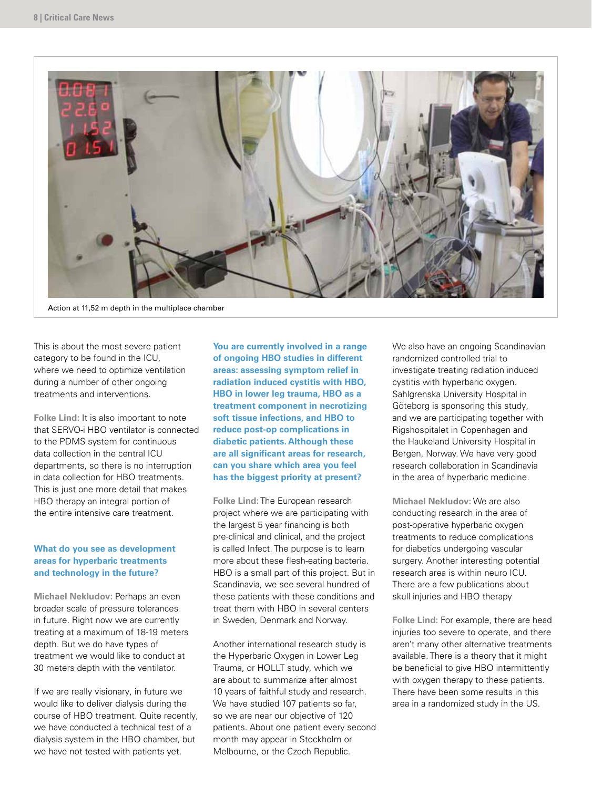

Action at 11,52 m depth in the multiplace chamber

This is about the most severe patient category to be found in the ICU, where we need to optimize ventilation during a number of other ongoing treatments and interventions.

**Folke Lind:** It is also important to note that SERVO-i HBO ventilator is connected to the PDMS system for continuous data collection in the central ICU departments, so there is no interruption in data collection for HBO treatments. This is just one more detail that makes HBO therapy an integral portion of the entire intensive care treatment.

#### **What do you see as development areas for hyperbaric treatments and technology in the future?**

**Michael Nekludov:** Perhaps an even broader scale of pressure tolerances in future. Right now we are currently treating at a maximum of 18-19 meters depth. But we do have types of treatment we would like to conduct at 30 meters depth with the ventilator.

If we are really visionary, in future we would like to deliver dialysis during the course of HBO treatment. Quite recently, we have conducted a technical test of a dialysis system in the HBO chamber, but we have not tested with patients yet.

**You are currently involved in a range of ongoing HBO studies in different areas: assessing symptom relief in radiation induced cystitis with HBO, HBO in lower leg trauma, HBO as a treatment component in necrotizing soft tissue infections, and HBO to reduce post-op complications in diabetic patients. Although these are all significant areas for research, can you share which area you feel has the biggest priority at present?**

**Folke Lind:** The European research project where we are participating with the largest 5 year financing is both pre-clinical and clinical, and the project is called Infect. The purpose is to learn more about these flesh-eating bacteria. HBO is a small part of this project. But in Scandinavia, we see several hundred of these patients with these conditions and treat them with HBO in several centers in Sweden, Denmark and Norway.

Another international research study is the Hyperbaric Oxygen in Lower Leg Trauma, or HOLLT study, which we are about to summarize after almost 10 years of faithful study and research. We have studied 107 patients so far, so we are near our objective of 120 patients. About one patient every second month may appear in Stockholm or Melbourne, or the Czech Republic.

We also have an ongoing Scandinavian randomized controlled trial to investigate treating radiation induced cystitis with hyperbaric oxygen. Sahlgrenska University Hospital in Göteborg is sponsoring this study, and we are participating together with Rigshospitalet in Copenhagen and the Haukeland University Hospital in Bergen, Norway. We have very good research collaboration in Scandinavia in the area of hyperbaric medicine.

**Michael Nekludov:** We are also conducting research in the area of post-operative hyperbaric oxygen treatments to reduce complications for diabetics undergoing vascular surgery. Another interesting potential research area is within neuro ICU. There are a few publications about skull injuries and HBO therapy

**Folke Lind:** For example, there are head injuries too severe to operate, and there aren't many other alternative treatments available. There is a theory that it might be beneficial to give HBO intermittently with oxygen therapy to these patients. There have been some results in this area in a randomized study in the US.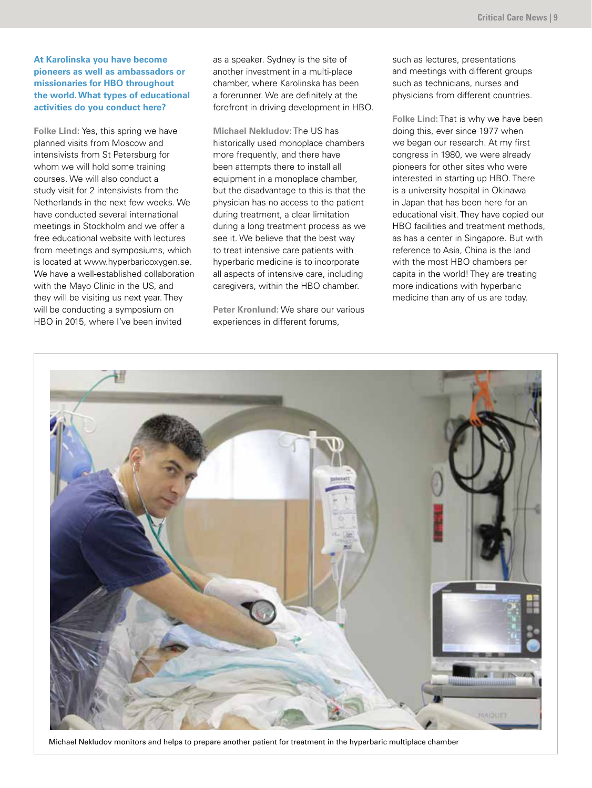### **At Karolinska you have become pioneers as well as ambassadors or missionaries for HBO throughout the world. What types of educational activities do you conduct here?**

**Folke Lind:** Yes, this spring we have planned visits from Moscow and intensivists from St Petersburg for whom we will hold some training courses. We will also conduct a study visit for 2 intensivists from the Netherlands in the next few weeks. We have conducted several international meetings in Stockholm and we offer a free educational website with lectures from meetings and symposiums, which is located at www.hyperbaricoxygen.se. We have a well-established collaboration with the Mayo Clinic in the US, and they will be visiting us next year. They will be conducting a symposium on HBO in 2015, where I've been invited

as a speaker. Sydney is the site of another investment in a multi-place chamber, where Karolinska has been a forerunner. We are definitely at the forefront in driving development in HBO.

**Michael Nekludov:** The US has historically used monoplace chambers more frequently, and there have been attempts there to install all equipment in a monoplace chamber, but the disadvantage to this is that the physician has no access to the patient during treatment, a clear limitation during a long treatment process as we see it. We believe that the best way to treat intensive care patients with hyperbaric medicine is to incorporate all aspects of intensive care, including caregivers, within the HBO chamber.

**Peter Kronlund:** We share our various experiences in different forums,

such as lectures, presentations and meetings with different groups such as technicians, nurses and physicians from different countries.

**Folke Lind:** That is why we have been doing this, ever since 1977 when we began our research. At my first congress in 1980, we were already pioneers for other sites who were interested in starting up HBO. There is a university hospital in Okinawa in Japan that has been here for an educational visit. They have copied our HBO facilities and treatment methods, as has a center in Singapore. But with reference to Asia, China is the land with the most HBO chambers per capita in the world! They are treating more indications with hyperbaric medicine than any of us are today.



Michael Nekludov monitors and helps to prepare another patient for treatment in the hyperbaric multiplace chamber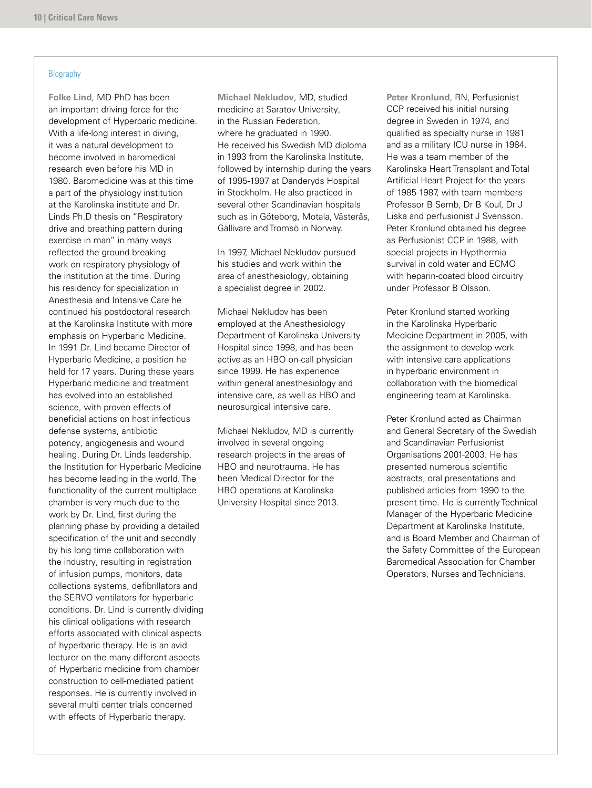#### **Biography**

**Folke Lind**, MD PhD has been an important driving force for the development of Hyperbaric medicine. With a life-long interest in diving, it was a natural development to become involved in baromedical research even before his MD in 1980. Baromedicine was at this time a part of the physiology institution at the Karolinska institute and Dr. Linds Ph.D thesis on "Respiratory drive and breathing pattern during exercise in man" in many ways reflected the ground breaking work on respiratory physiology of the institution at the time. During his residency for specialization in Anesthesia and Intensive Care he continued his postdoctoral research at the Karolinska Institute with more emphasis on Hyperbaric Medicine. In 1991 Dr. Lind became Director of Hyperbaric Medicine, a position he held for 17 years. During these years Hyperbaric medicine and treatment has evolved into an established science, with proven effects of beneficial actions on host infectious defense systems, antibiotic potency, angiogenesis and wound healing. During Dr. Linds leadership, the Institution for Hyperbaric Medicine has become leading in the world. The functionality of the current multiplace chamber is very much due to the work by Dr. Lind, first during the planning phase by providing a detailed specification of the unit and secondly by his long time collaboration with the industry, resulting in registration of infusion pumps, monitors, data collections systems, defibrillators and the SERVO ventilators for hyperbaric conditions. Dr. Lind is currently dividing his clinical obligations with research efforts associated with clinical aspects of hyperbaric therapy. He is an avid lecturer on the many different aspects of Hyperbaric medicine from chamber construction to cell-mediated patient responses. He is currently involved in several multi center trials concerned with effects of Hyperbaric therapy.

**Michael Nekludov**, MD, studied medicine at Saratov University, in the Russian Federation, where he graduated in 1990. He received his Swedish MD diploma in 1993 from the Karolinska Institute, followed by internship during the years of 1995-1997 at Danderyds Hospital in Stockholm. He also practiced in several other Scandinavian hospitals such as in Göteborg, Motala, Västerås, Gällivare and Tromsö in Norway.

In 1997, Michael Nekludov pursued his studies and work within the area of anesthesiology, obtaining a specialist degree in 2002.

Michael Nekludov has been employed at the Anesthesiology Department of Karolinska University Hospital since 1998, and has been active as an HBO on-call physician since 1999. He has experience within general anesthesiology and intensive care, as well as HBO and neurosurgical intensive care.

Michael Nekludov, MD is currently involved in several ongoing research projects in the areas of HBO and neurotrauma. He has been Medical Director for the HBO operations at Karolinska University Hospital since 2013.

**Peter Kronlund**, RN, Perfusionist CCP received his initial nursing degree in Sweden in 1974, and qualified as specialty nurse in 1981 and as a military ICU nurse in 1984. He was a team member of the Karolinska Heart Transplant and Total Artificial Heart Project for the years of 1985-1987, with team members Professor B Semb, Dr B Koul, Dr J Liska and perfusionist J Svensson. Peter Kronlund obtained his degree as Perfusionist CCP in 1988, with special projects in Hypthermia survival in cold water and ECMO with heparin-coated blood circuitry under Professor B Olsson.

Peter Kronlund started working in the Karolinska Hyperbaric Medicine Department in 2005, with the assignment to develop work with intensive care applications in hyperbaric environment in collaboration with the biomedical engineering team at Karolinska.

Peter Kronlund acted as Chairman and General Secretary of the Swedish and Scandinavian Perfusionist Organisations 2001-2003. He has presented numerous scientific abstracts, oral presentations and published articles from 1990 to the present time. He is currently Technical Manager of the Hyperbaric Medicine Department at Karolinska Institute, and is Board Member and Chairman of the Safety Committee of the European Baromedical Association for Chamber Operators, Nurses and Technicians.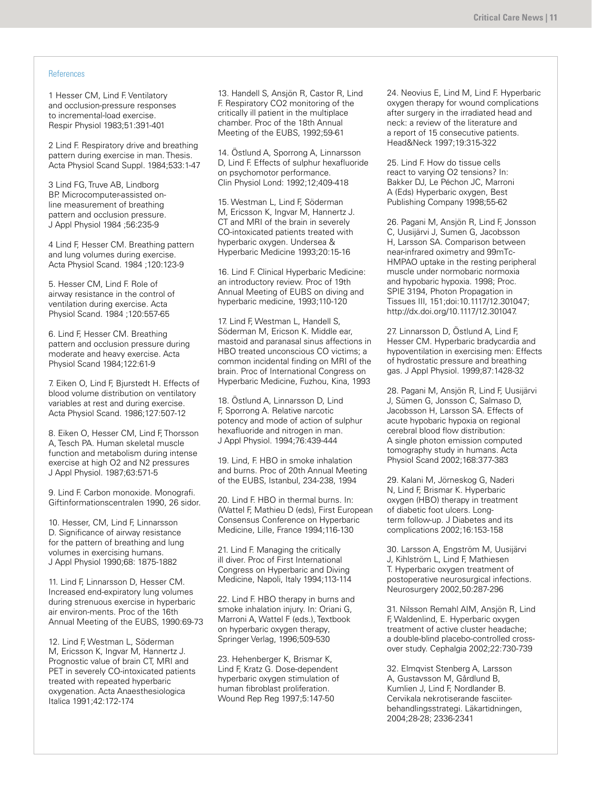#### References

1 Hesser CM, Lind F. Ventilatory and occlusion-pressure responses to incremental-load exercise. Respir Physiol 1983;51:391-401

2 Lind F. Respiratory drive and breathing pattern during exercise in man. Thesis. Acta Physiol Scand Suppl. 1984;533:1-47

3 Lind FG, Truve AB, Lindborg BP. Microcomputer-assisted online measurement of breathing pattern and occlusion pressure. J Appl Physiol 1984 ;56:235-9

4 Lind F, Hesser CM. Breathing pattern and lung volumes during exercise. Acta Physiol Scand. 1984 ;120:123-9

5. Hesser CM, Lind F. Role of airway resistance in the control of ventilation during exercise. Acta Physiol Scand. 1984 ;120:557-65

6. Lind F, Hesser CM. Breathing pattern and occlusion pressure during moderate and heavy exercise. Acta Physiol Scand 1984;122:61-9

7. Eiken O, Lind F, Bjurstedt H. Effects of blood volume distribution on ventilatory variables at rest and during exercise. Acta Physiol Scand. 1986;127:507-12

8. Eiken O, Hesser CM, Lind F, Thorsson A, Tesch PA. Human skeletal muscle function and metabolism during intense exercise at high O2 and N2 pressures J Appl Physiol. 1987;63:571-5

9. Lind F. Carbon monoxide. Monografi. Giftinformationscentralen 1990, 26 sidor.

10. Hesser, CM, Lind F, Linnarsson D. Significance of airway resistance for the pattern of breathing and lung volumes in exercising humans. J Appl Physiol 1990;68: 1875-1882

11. Lind F, Linnarsson D, Hesser CM. Increased end-expiratory lung volumes during strenuous exercise in hyperbaric air environ-ments. Proc of the 16th Annual Meeting of the EUBS, 1990:69-73

12. Lind F, Westman L, Söderman M, Ericsson K, Ingvar M, Hannertz J. Prognostic value of brain CT, MRI and PET in severely CO-intoxicated patients treated with repeated hyperbaric oxygenation. Acta Anaesthesiologica Italica 1991;42:172-174

13. Handell S, Ansjön R, Castor R, Lind F. Respiratory CO2 monitoring of the critically ill patient in the multiplace chamber. Proc of the 18th Annual Meeting of the EUBS, 1992;59-61

14. Östlund A, Sporrong A, Linnarsson D, Lind F. Effects of sulphur hexafluoride on psychomotor performance. Clin Physiol Lond: 1992;12;409-418

15. Westman L, Lind F, Söderman M, Ericsson K, Ingvar M, Hannertz J. CT and MRI of the brain in severely CO-intoxicated patients treated with hyperbaric oxygen. Undersea & Hyperbaric Medicine 1993;20:15-16

16. Lind F. Clinical Hyperbaric Medicine: an introductory review. Proc of 19th Annual Meeting of EUBS on diving and hyperbaric medicine, 1993;110-120

17. Lind F, Westman L, Handell S, Söderman M, Ericson K. Middle ear, mastoid and paranasal sinus affections in HBO treated unconscious CO victims; a common incidental finding on MRI of the brain. Proc of International Congress on Hyperbaric Medicine, Fuzhou, Kina, 1993

18. Östlund A, Linnarsson D, Lind F, Sporrong A. Relative narcotic potency and mode of action of sulphur hexafluoride and nitrogen in man. J Appl Physiol. 1994;76:439-444

19. Lind, F. HBO in smoke inhalation and burns. Proc of 20th Annual Meeting of the EUBS, Istanbul, 234-238, 1994

20. Lind F. HBO in thermal burns. In: (Wattel F, Mathieu D (eds), First European Consensus Conference on Hyperbaric Medicine, Lille, France 1994;116-130

21. Lind F. Managing the critically ill diver. Proc of First International Congress on Hyperbaric and Diving Medicine, Napoli, Italy 1994;113-114

22. Lind F. HBO therapy in burns and smoke inhalation injury. In: Oriani G, Marroni A, Wattel F (eds.), Textbook on hyperbaric oxygen therapy, Springer Verlag, 1996;509-530

23. Hehenberger K, Brismar K, Lind F, Kratz G. Dose-dependent hyperbaric oxygen stimulation of human fibroblast proliferation. Wound Rep Reg 1997;5:147-50

24. Neovius E, Lind M, Lind F. Hyperbaric oxygen therapy for wound complications after surgery in the irradiated head and neck: a review of the literature and a report of 15 consecutive patients. Head&Neck 1997;19:315-322

25. Lind F. How do tissue cells react to varying O2 tensions? In: Bakker DJ, Le Péchon JC, Marroni A (Eds) Hyperbaric oxygen, Best Publishing Company 1998;55-62

26. Pagani M, Ansjön R, Lind F, Jonsson C, Uusijärvi J, Sumen G, Jacobsson H, Larsson SA. Comparison between near-infrared oximetry and 99mTc-HMPAO uptake in the resting peripheral muscle under normobaric normoxia and hypobaric hypoxia. 1998; Proc. SPIE 3194, Photon Propagation in Tissues III, 151;doi:10.1117/12.301047; http://dx.doi.org/10.1117/12.301047.

27. Linnarsson D, Östlund A, Lind F, Hesser CM. Hyperbaric bradycardia and hypoventilation in exercising men: Effects of hydrostatic pressure and breathing gas. J Appl Physiol. 1999;87:1428-32

28. Pagani M, Ansjön R, Lind F, Uusijärvi J, Sümen G, Jonsson C, Salmaso D, Jacobsson H, Larsson SA. Effects of acute hypobaric hypoxia on regional cerebral blood flow distribution: A single photon emission computed tomography study in humans. Acta Physiol Scand 2002;168:377-383

29. Kalani M, Jörneskog G, Naderi N, Lind F, Brismar K. Hyperbaric oxygen (HBO) therapy in treatment of diabetic foot ulcers. Longterm follow-up. J Diabetes and its complications 2002;16:153-158

30. Larsson A, Engström M, Uusijärvi J, Kihlström L, Lind F, Mathiesen T. Hyperbaric oxygen treatment of postoperative neurosurgical infections. Neurosurgery 2002,50:287-296

31. Nilsson Remahl AIM, Ansjön R, Lind F, Waldenlind, E. Hyperbaric oxygen treatment of active cluster headache; a double-blind placebo-controlled crossover study. Cephalgia 2002;22:730-739

32. Elmqvist Stenberg A, Larsson A, Gustavsson M, Gårdlund B, Kumlien J, Lind F, Nordlander B. Cervikala nekrotiserande fasciiterbehandlingsstrategi. Läkartidningen, 2004;28-28; 2336-2341